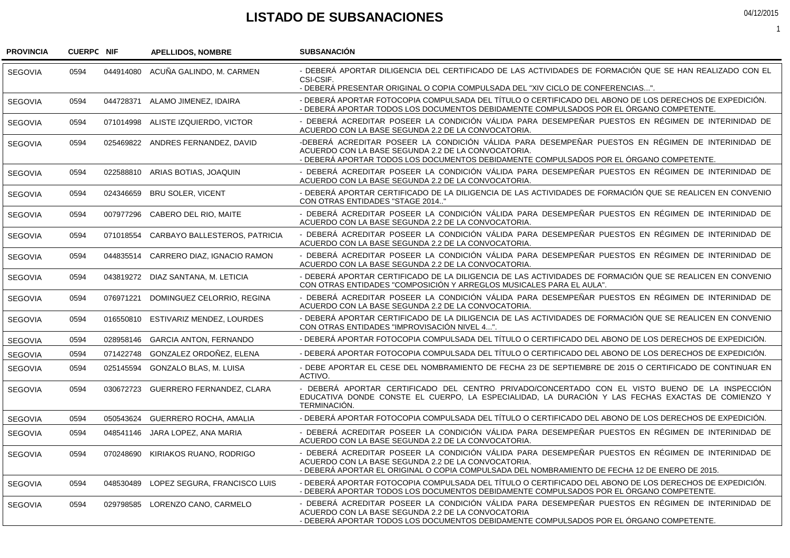## **LISTADO DE SUBSANACIONES**

044914080 ACUNA GALINDO, M. CARMEN 044728371 ALAMO JIMENEZ, IDAIRA 071014998 ALISTE IZQUIERDO, VICTOR 025469822 ANDRES FERNANDEZ, DAVID 022588810 ARIAS BOTIAS, JOAQUIN 024346659 BRU SOLER, VICENT 007977296 CABERO DEL RIO, MAITE 071018554 CARBAYO BALLESTEROS, PATRICIA 044835514 CARRERO DIAZ, IGNACIO RAMON 043819272 DIAZ SANTANA, M. LETICIA 076971221 DOMINGUEZ CELORRIO, REGINA 016550810 ESTIVARIZ MENDEZ, LOURDES 028958146 GARCIA ANTON, FERNANDO 071422748 GONZALEZ ORDOÑEZ, ELENA 025145594 GONZALO BLAS, M. LUISA 030672723 GUERRERO FERNANDEZ, CLARA 050543624 GUERRERO ROCHA, AMALIA 048541146 JARA LOPEZ, ANA MARIA 070248690 KIRIAKOS RUANO, RODRIGO 048530489 LOPEZ SEGURA, FRANCISCO LUIS 029798585 LORENZO CANO, CARMELO - DEBERÁ APORTAR DILIGENCIA DEL CERTIFICADO DE LAS ACTIVIDADES DE FORMACIÓN QUE SE HAN REALIZADO CON EL CSI-CSIF. - DEBERÁ PRESENTAR ORIGINAL O COPIA COMPULSADA DEL "XIV CICLO DE CONFERENCIAS...". - DEBERÁ APORTAR FOTOCOPIA COMPULSADA DEL TÍTULO O CERTIFICADO DEL ABONO DE LOS DERECHOS DE EXPEDICIÓN. - DEBERÁ APORTAR TODOS LOS DOCUMENTOS DEBIDAMENTE COMPULSADOS POR EL ÓRGANO COMPETENTE. - DEBERÁ ACREDITAR POSEER LA CONDICIÓN VÁLIDA PARA DESEMPEÑAR PUESTOS EN RÉGIMEN DE INTERINIDAD DE ACUERDO CON LA BASE SEGUNDA 2.2 DE LA CONVOCATORIA. -DEBERÁ ACREDITAR POSEER LA CONDICIÓN VÁLIDA PARA DESEMPEÑAR PUESTOS EN RÉGIMEN DE INTERINIDAD DE ACUERDO CON LA BASE SEGUNDA 2.2 DE LA CONVOCATORIA. - DEBERÁ APORTAR TODOS LOS DOCUMENTOS DEBIDAMENTE COMPULSADOS POR EL ÓRGANO COMPETENTE. - DEBERÁ ACREDITAR POSEER LA CONDICIÓN VÁLIDA PARA DESEMPEÑAR PUESTOS EN RÉGIMEN DE INTERINIDAD DE ACUERDO CON LA BASE SEGUNDA 2.2 DE LA CONVOCATORIA. - DEBERÁ APORTAR CERTIFICADO DE LA DILIGENCIA DE LAS ACTIVIDADES DE FORMACIÓN QUE SE REALICEN EN CONVENIO CON OTRAS ENTIDADES "STAGE 2014.." - DEBERÁ ACREDITAR POSEER LA CONDICIÓN VÁLIDA PARA DESEMPEÑAR PUESTOS EN RÉGIMEN DE INTERINIDAD DE ACUERDO CON LA BASE SEGUNDA 2.2 DE LA CONVOCATORIA. - DEBERÁ ACREDITAR POSEER LA CONDICIÓN VÁLIDA PARA DESEMPEÑAR PUESTOS EN RÉGIMEN DE INTERINIDAD DE ACUERDO CON LA BASE SEGUNDA 2.2 DE LA CONVOCATORIA. - DEBERÁ ACREDITAR POSEER LA CONDICIÓN VÁLIDA PARA DESEMPEÑAR PUESTOS EN RÉGIMEN DE INTERINIDAD DE ACUERDO CON LA BASE SEGUNDA 2.2 DE LA CONVOCATORIA. - DEBERÁ APORTAR CERTIFICADO DE LA DILIGENCIA DE LAS ACTIVIDADES DE FORMACIÓN QUE SE REALICEN EN CONVENIO CON OTRAS ENTIDADES "COMPOSICIÓN Y ARREGLOS MUSICALES PARA EL AULA". - DEBERÁ ACREDITAR POSEER LA CONDICIÓN VÁLIDA PARA DESEMPEÑAR PUESTOS EN RÉGIMEN DE INTERINIDAD DE ACUERDO CON LA BASE SEGUNDA 2.2 DE LA CONVOCATORIA. - DEBERÁ APORTAR CERTIFICADO DE LA DILIGENCIA DE LAS ACTIVIDADES DE FORMACIÓN QUE SE REALICEN EN CONVENIO CON OTRAS ENTIDADES "IMPROVISACIÓN NIVEL 4...". - DEBERÁ APORTAR FOTOCOPIA COMPULSADA DEL TÍTULO O CERTIFICADO DEL ABONO DE LOS DERECHOS DE EXPEDICIÓN. - DEBERÁ APORTAR FOTOCOPIA COMPULSADA DEL TÍTULO O CERTIFICADO DEL ABONO DE LOS DERECHOS DE EXPEDICIÓN. - DEBE APORTAR EL CESE DEL NOMBRAMIENTO DE FECHA 23 DE SEPTIEMBRE DE 2015 O CERTIFICADO DE CONTINUAR EN ACTIVO. - DEBERÁ APORTAR CERTIFICADO DEL CENTRO PRIVADO/CONCERTADO CON EL VISTO BUENO DE LA INSPECCIÓN EDUCATIVA DONDE CONSTE EL CUERPO, LA ESPECIALIDAD, LA DURACIÓN Y LAS FECHAS EXACTAS DE COMIENZO Y TERMINACIÓN. - DEBERÁ APORTAR FOTOCOPIA COMPULSADA DEL TÍTULO O CERTIFICADO DEL ABONO DE LOS DERECHOS DE EXPEDICIÓN. - DEBERÁ ACREDITAR POSEER LA CONDICIÓN VÁLIDA PARA DESEMPEÑAR PUESTOS EN RÉGIMEN DE INTERINIDAD DE ACUERDO CON LA BASE SEGUNDA 2.2 DE LA CONVOCATORIA. - DEBERÁ ACREDITAR POSEER LA CONDICIÓN VÁLIDA PARA DESEMPEÑAR PUESTOS EN RÉGIMEN DE INTERINIDAD DE ACUERDO CON LA BASE SEGUNDA 2.2 DE LA CONVOCATORIA. - DEBERÁ APORTAR EL ORIGINAL O COPIA COMPULSADA DEL NOMBRAMIENTO DE FECHA 12 DE ENERO DE 2015. - DEBERÁ APORTAR FOTOCOPIA COMPULSADA DEL TÍTULO O CERTIFICADO DEL ABONO DE LOS DERECHOS DE EXPEDICIÓN. - DEBERÁ APORTAR TODOS LOS DOCUMENTOS DEBIDAMENTE COMPULSADOS POR EL ÓRGANO COMPETENTE. - DEBERÁ ACREDITAR POSEER LA CONDICIÓN VÁLIDA PARA DESEMPEÑAR PUESTOS EN RÉGIMEN DE INTERINIDAD DE ACUERDO CON LA BASE SEGUNDA 2.2 DE LA CONVOCATORIA - DEBERÁ APORTAR TODOS LOS DOCUMENTOS DEBIDAMENTE COMPULSADOS POR EL ÓRGANO COMPETENTE. **NIF APELLIDOS, NOMBRE SUBSANACIÓN PROVINCIA SEGOVIA SEGOVIA SEGOVIA SEGOVIA SEGOVIA SEGOVIA SEGOVIA SEGOVIA SEGOVIA SEGOVIA SEGOVIA SEGOVIA SEGOVIA SEGOVIA SEGOVIA SEGOVIA SEGOVIA SEGOVIA SEGOVIA SEGOVIA SEGOVIA CUERPC NIF** 0594 0594 0594 0594 0594 0594 0594 0594 0594 0594 0594 0594 0594 0594 0594 0594 0594 0594 0594 0594 0594

04/12/2015

1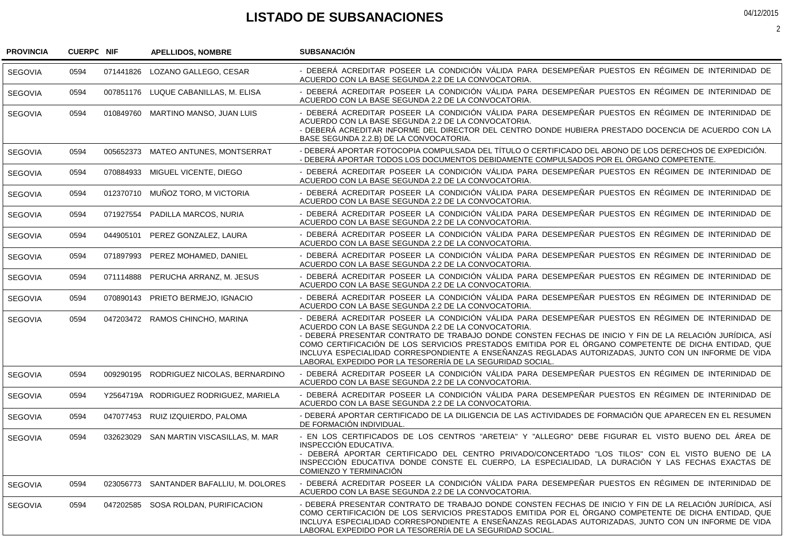## **LISTADO DE SUBSANACIONES**

| <b>PROVINCIA</b> | <b>CUERPC NIF</b> |           | <b>APELLIDOS, NOMBRE</b>                 | <b>SUBSANACIÓN</b>                                                                                                                                                                                                                                                                                                                                                                                                                                                                                                                                 |
|------------------|-------------------|-----------|------------------------------------------|----------------------------------------------------------------------------------------------------------------------------------------------------------------------------------------------------------------------------------------------------------------------------------------------------------------------------------------------------------------------------------------------------------------------------------------------------------------------------------------------------------------------------------------------------|
| <b>SEGOVIA</b>   | 0594              | 071441826 | LOZANO GALLEGO, CESAR                    | - DEBERÁ ACREDITAR POSEER LA CONDICIÓN VÁLIDA PARA DESEMPEÑAR PUESTOS EN RÉGIMEN DE INTERINIDAD DE<br>ACUERDO CON LA BASE SEGUNDA 2.2 DE LA CONVOCATORIA.                                                                                                                                                                                                                                                                                                                                                                                          |
| <b>SEGOVIA</b>   | 0594              |           | 007851176 LUQUE CABANILLAS, M. ELISA     | - DEBERÁ ACREDITAR POSEER LA CONDICIÓN VÁLIDA PARA DESEMPEÑAR PUESTOS EN RÉGIMEN DE INTERINIDAD DE<br>ACUERDO CON LA BASE SEGUNDA 2.2 DE LA CONVOCATORIA.                                                                                                                                                                                                                                                                                                                                                                                          |
| <b>SEGOVIA</b>   | 0594              |           | 010849760 MARTINO MANSO, JUAN LUIS       | - DEBERÁ ACREDITAR POSEER LA CONDICIÓN VÁLIDA PARA DESEMPEÑAR PUESTOS EN RÉGIMEN DE INTERINIDAD DE<br>ACUERDO CON LA BASE SEGUNDA 2.2 DE LA CONVOCATORIA.<br>- DEBERÁ ACREDITAR INFORME DEL DIRECTOR DEL CENTRO DONDE HUBIERA PRESTADO DOCENCIA DE ACUERDO CON LA<br>BASE SEGUNDA 2.2.B) DE LA CONVOCATORIA.                                                                                                                                                                                                                                       |
| <b>SEGOVIA</b>   | 0594              | 005652373 | <b>MATEO ANTUNES, MONTSERRAT</b>         | - DEBERÁ APORTAR FOTOCOPIA COMPULSADA DEL TÍTULO O CERTIFICADO DEL ABONO DE LOS DERECHOS DE EXPEDICIÓN.<br>- DEBERÁ APORTAR TODOS LOS DOCUMENTOS DEBIDAMENTE COMPULSADOS POR EL ÓRGANO COMPETENTE.                                                                                                                                                                                                                                                                                                                                                 |
| <b>SEGOVIA</b>   | 0594              |           | 070884933 MIGUEL VICENTE, DIEGO          | - DEBERÁ ACREDITAR POSEER LA CONDICIÓN VÁLIDA PARA DESEMPEÑAR PUESTOS EN RÉGIMEN DE INTERINIDAD DE<br>ACUERDO CON LA BASE SEGUNDA 2.2 DE LA CONVOCATORIA.                                                                                                                                                                                                                                                                                                                                                                                          |
| <b>SEGOVIA</b>   | 0594              | 012370710 | MUÑOZ TORO, M VICTORIA                   | - DEBERÁ ACREDITAR POSEER LA CONDICIÓN VÁLIDA PARA DESEMPEÑAR PUESTOS EN RÉGIMEN DE INTERINIDAD DE<br>ACUERDO CON LA BASE SEGUNDA 2.2 DE LA CONVOCATORIA.                                                                                                                                                                                                                                                                                                                                                                                          |
| <b>SEGOVIA</b>   | 0594              | 071927554 | PADILLA MARCOS, NURIA                    | - DEBERÁ ACREDITAR POSEER LA CONDICIÓN VÁLIDA PARA DESEMPEÑAR PUESTOS EN RÉGIMEN DE INTERINIDAD DE<br>ACUERDO CON LA BASE SEGUNDA 2.2 DE LA CONVOCATORIA.                                                                                                                                                                                                                                                                                                                                                                                          |
| <b>SEGOVIA</b>   | 0594              | 044905101 | PEREZ GONZALEZ, LAURA                    | - DEBERÁ ACREDITAR POSEER LA CONDICIÓN VÁLIDA PARA DESEMPEÑAR PUESTOS EN RÉGIMEN DE INTERINIDAD DE<br>ACUERDO CON LA BASE SEGUNDA 2.2 DE LA CONVOCATORIA.                                                                                                                                                                                                                                                                                                                                                                                          |
| <b>SEGOVIA</b>   | 0594              | 071897993 | PEREZ MOHAMED, DANIEL                    | - DEBERÁ ACREDITAR POSEER LA CONDICIÓN VÁLIDA PARA DESEMPEÑAR PUESTOS EN RÉGIMEN DE INTERINIDAD DE<br>ACUERDO CON LA BASE SEGUNDA 2.2 DE LA CONVOCATORIA.                                                                                                                                                                                                                                                                                                                                                                                          |
| <b>SEGOVIA</b>   | 0594              | 071114888 | PERUCHA ARRANZ, M. JESUS                 | - DEBERÁ ACREDITAR POSEER LA CONDICIÓN VÁLIDA PARA DESEMPEÑAR PUESTOS EN RÉGIMEN DE INTERINIDAD DE<br>ACUERDO CON LA BASE SEGUNDA 2.2 DE LA CONVOCATORIA.                                                                                                                                                                                                                                                                                                                                                                                          |
| <b>SEGOVIA</b>   | 0594              | 070890143 | PRIETO BERMEJO, IGNACIO                  | - DEBERÁ ACREDITAR POSEER LA CONDICIÓN VÁLIDA PARA DESEMPEÑAR PUESTOS EN RÉGIMEN DE INTERINIDAD DE<br>ACUERDO CON LA BASE SEGUNDA 2.2 DE LA CONVOCATORIA.                                                                                                                                                                                                                                                                                                                                                                                          |
| <b>SEGOVIA</b>   | 0594              |           | 047203472 RAMOS CHINCHO, MARINA          | - DEBERÁ ACREDITAR POSEER LA CONDICIÓN VÁLIDA PARA DESEMPEÑAR PUESTOS EN RÉGIMEN DE INTERINIDAD DE<br>ACUERDO CON LA BASE SEGUNDA 2.2 DE LA CONVOCATORIA.<br>- DEBERÁ PRESENTAR CONTRATO DE TRABAJO DONDE CONSTEN FECHAS DE INICIO Y FIN DE LA RELACIÓN JURÍDICA, ASÍ<br>COMO CERTIFICACIÓN DE LOS SERVICIOS PRESTADOS EMITIDA POR EL ÓRGANO COMPETENTE DE DICHA ENTIDAD, QUE<br>INCLUYA ESPECIALIDAD CORRESPONDIENTE A ENSEÑANZAS REGLADAS AUTORIZADAS, JUNTO CON UN INFORME DE VIDA<br>LABORAL EXPEDIDO POR LA TESORERÍA DE LA SEGURIDAD SOCIAL. |
| <b>SEGOVIA</b>   | 0594              | 009290195 | RODRIGUEZ NICOLAS, BERNARDINO            | - DEBERÁ ACREDITAR POSEER LA CONDICIÓN VÁLIDA PARA DESEMPEÑAR PUESTOS EN RÉGIMEN DE INTERINIDAD DE<br>ACUERDO CON LA BASE SEGUNDA 2.2 DE LA CONVOCATORIA.                                                                                                                                                                                                                                                                                                                                                                                          |
| <b>SEGOVIA</b>   | 0594              |           | Y2564719A RODRIGUEZ RODRIGUEZ, MARIELA   | - DEBERÁ ACREDITAR POSEER LA CONDICIÓN VÁLIDA PARA DESEMPEÑAR PUESTOS EN RÉGIMEN DE INTERINIDAD DE<br>ACUERDO CON LA BASE SEGUNDA 2.2 DE LA CONVOCATORIA.                                                                                                                                                                                                                                                                                                                                                                                          |
| <b>SEGOVIA</b>   | 0594              |           | 047077453 RUIZ IZQUIERDO, PALOMA         | - DEBERÁ APORTAR CERTIFICADO DE LA DILIGENCIA DE LAS ACTIVIDADES DE FORMACIÓN QUE APARECEN EN EL RESUMEN<br>DE FORMACIÓN INDIVIDUAL.                                                                                                                                                                                                                                                                                                                                                                                                               |
| <b>SEGOVIA</b>   | 0594              | 032623029 | SAN MARTIN VISCASILLAS, M. MAR           | - EN LOS CERTIFICADOS DE LOS CENTROS "ARETEIA" Y "ALLEGRO" DEBE FIGURAR EL VISTO BUENO DEL ÁREA DE<br>INSPECCIÓN EDUCATIVA.<br>- DEBERÁ APORTAR CERTIFICADO DEL CENTRO PRIVADO/CONCERTADO "LOS TILOS" CON EL VISTO BUENO DE LA<br>INSPECCIÓN EDUCATIVA DONDE CONSTE EL CUERPO, LA ESPECIALIDAD, LA DURACIÓN Y LAS FECHAS EXACTAS DE<br>COMIENZO Y TERMINACIÓN                                                                                                                                                                                      |
| <b>SEGOVIA</b>   | 0594              |           | 023056773 SANTANDER BAFALLIU, M. DOLORES | - DEBERÁ ACREDITAR POSEER LA CONDICIÓN VÁLIDA PARA DESEMPEÑAR PUESTOS EN RÉGIMEN DE INTERINIDAD DE<br>ACUERDO CON LA BASE SEGUNDA 2.2 DE LA CONVOCATORIA.                                                                                                                                                                                                                                                                                                                                                                                          |
| <b>SEGOVIA</b>   | 0594              |           | 047202585 SOSA ROLDAN, PURIFICACION      | - DEBERÁ PRESENTAR CONTRATO DE TRABAJO DONDE CONSTEN FECHAS DE INICIO Y FIN DE LA RELACIÓN JURÍDICA, ASÍ<br>COMO CERTIFICACIÓN DE LOS SERVICIOS PRESTADOS EMITIDA POR EL ÓRGANO COMPETENTE DE DICHA ENTIDAD. QUE<br>INCLUYA ESPECIALIDAD CORRESPONDIENTE A ENSEÑANZAS REGLADAS AUTORIZADAS, JUNTO CON UN INFORME DE VIDA<br>LABORAL EXPEDIDO POR LA TESORERÍA DE LA SEGURIDAD SOCIAL.                                                                                                                                                              |

04/12/2015

2